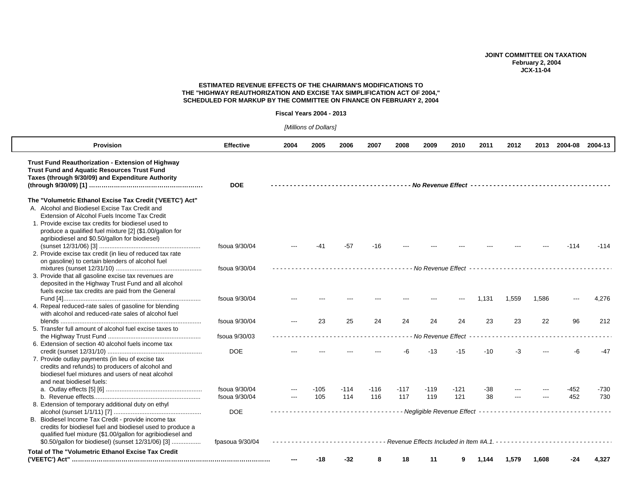# **JOINT COMMITTEE ON TAXATION February 2, 2004 JCX-11-04**

## **ESTIMATED REVENUE EFFECTS OF THE CHAIRMAN'S MODIFICATIONS TO THE "HIGHWAY REAUTHORIZATION AND EXCISE TAX SIMPLIFICATION ACT OF 2004," SCHEDULED FOR MARKUP BY THE COMMITTEE ON FINANCE ON FEBRUARY 2, 2004**

#### **Fiscal Years 2004 - 2013**

*[Millions of Dollars]* 

| <b>Provision</b>                                                                                                                                             | <b>Effective</b> | 2004                                                                 | 2005 | 2006   | 2007   | 2008                                                           | 2009              | 2010   | 2011  | 2012  | 2013  | 2004-08                                            | 2004-13 |
|--------------------------------------------------------------------------------------------------------------------------------------------------------------|------------------|----------------------------------------------------------------------|------|--------|--------|----------------------------------------------------------------|-------------------|--------|-------|-------|-------|----------------------------------------------------|---------|
| Trust Fund Reauthorization - Extension of Highway<br><b>Trust Fund and Aquatic Resources Trust Fund</b><br>Taxes (through 9/30/09) and Expenditure Authority | <b>DOE</b>       |                                                                      |      |        |        |                                                                |                   |        |       |       |       |                                                    |         |
| The "Volumetric Ethanol Excise Tax Credit ('VEETC') Act"                                                                                                     |                  |                                                                      |      |        |        |                                                                |                   |        |       |       |       |                                                    |         |
| A. Alcohol and Biodiesel Excise Tax Credit and                                                                                                               |                  |                                                                      |      |        |        |                                                                |                   |        |       |       |       |                                                    |         |
| Extension of Alcohol Fuels Income Tax Credit                                                                                                                 |                  |                                                                      |      |        |        |                                                                |                   |        |       |       |       |                                                    |         |
| 1. Provide excise tax credits for biodiesel used to                                                                                                          |                  |                                                                      |      |        |        |                                                                |                   |        |       |       |       |                                                    |         |
| produce a qualified fuel mixture [2] (\$1.00/gallon for                                                                                                      |                  |                                                                      |      |        |        |                                                                |                   |        |       |       |       |                                                    |         |
| agribiodiesel and \$0.50/gallon for biodiesel)                                                                                                               |                  |                                                                      |      |        |        |                                                                |                   |        |       |       |       |                                                    |         |
|                                                                                                                                                              | fsoua 9/30/04    |                                                                      | -41  | -57    | -16    |                                                                |                   |        |       |       |       | $-114$                                             | $-114$  |
| 2. Provide excise tax credit (in lieu of reduced tax rate                                                                                                    |                  |                                                                      |      |        |        |                                                                |                   |        |       |       |       |                                                    |         |
| on gasoline) to certain blenders of alcohol fuel                                                                                                             |                  |                                                                      |      |        |        |                                                                |                   |        |       |       |       |                                                    |         |
|                                                                                                                                                              | fsoua 9/30/04    |                                                                      |      |        |        |                                                                |                   |        |       |       |       | - No Revenue Effect ------------------------------ |         |
| 3. Provide that all gasoline excise tax revenues are                                                                                                         |                  |                                                                      |      |        |        |                                                                |                   |        |       |       |       |                                                    |         |
| deposited in the Highway Trust Fund and all alcohol                                                                                                          |                  |                                                                      |      |        |        |                                                                |                   |        |       |       |       |                                                    |         |
| fuels excise tax credits are paid from the General                                                                                                           |                  |                                                                      |      |        |        |                                                                |                   |        |       |       |       |                                                    |         |
|                                                                                                                                                              | fsoua 9/30/04    |                                                                      |      |        |        |                                                                |                   |        | 1,131 | 1,559 | 1,586 |                                                    | 4,276   |
| 4. Repeal reduced-rate sales of gasoline for blending<br>with alcohol and reduced-rate sales of alcohol fuel                                                 |                  |                                                                      |      |        |        |                                                                |                   |        |       |       |       |                                                    |         |
|                                                                                                                                                              | fsoua 9/30/04    |                                                                      | 23   | 25     | 24     | 24                                                             | 24                | 24     | 23    | 23    | 22    | 96                                                 | 212     |
| 5. Transfer full amount of alcohol fuel excise taxes to                                                                                                      |                  |                                                                      |      |        |        |                                                                |                   |        |       |       |       |                                                    |         |
|                                                                                                                                                              | fsoua 9/30/03    |                                                                      |      |        |        |                                                                | No Revenue Effect |        |       |       |       |                                                    |         |
| 6. Extension of section 40 alcohol fuels income tax                                                                                                          |                  |                                                                      |      |        |        |                                                                |                   |        |       |       |       |                                                    |         |
|                                                                                                                                                              | <b>DOE</b>       |                                                                      |      |        |        |                                                                | $-13$             | $-15$  | -10   | -3    |       | -6                                                 | -47     |
| 7. Provide outlay payments (in lieu of excise tax                                                                                                            |                  |                                                                      |      |        |        |                                                                |                   |        |       |       |       |                                                    |         |
| credits and refunds) to producers of alcohol and                                                                                                             |                  |                                                                      |      |        |        |                                                                |                   |        |       |       |       |                                                    |         |
| biodiesel fuel mixtures and users of neat alcohol                                                                                                            |                  |                                                                      |      |        |        |                                                                |                   |        |       |       |       |                                                    |         |
| and neat biodiesel fuels:                                                                                                                                    |                  |                                                                      |      |        |        |                                                                |                   |        |       |       |       |                                                    |         |
|                                                                                                                                                              | fsoua 9/30/04    |                                                                      | -105 | $-114$ | $-116$ | $-117$                                                         | $-119$            | $-121$ | -38   |       |       | $-452$                                             | $-730$  |
|                                                                                                                                                              | fsoua 9/30/04    | $\hspace{0.05cm} \ldots \hspace{0.05cm}$                             | 105  | 114    | 116    | 117                                                            | 119               | 121    | 38    |       |       | 452                                                | 730     |
| 8. Extension of temporary additional duty on ethyl                                                                                                           |                  |                                                                      |      |        |        |                                                                |                   |        |       |       |       |                                                    |         |
|                                                                                                                                                              | <b>DOE</b>       |                                                                      |      |        |        | --------------- Negligible Revenue Effect -------------------- |                   |        |       |       |       |                                                    |         |
| B. Biodiesel Income Tax Credit - provide income tax                                                                                                          |                  |                                                                      |      |        |        |                                                                |                   |        |       |       |       |                                                    |         |
| credits for biodiesel fuel and biodiesel used to produce a                                                                                                   |                  |                                                                      |      |        |        |                                                                |                   |        |       |       |       |                                                    |         |
| qualified fuel mixture (\$1.00/gallon for agribiodiesel and                                                                                                  |                  |                                                                      |      |        |        |                                                                |                   |        |       |       |       |                                                    |         |
| \$0.50/gallon for biodiesel) (sunset 12/31/06) [3]                                                                                                           | fpasoua 9/30/04  | Revenue Effects Included in Item #A.1. ----------------------------- |      |        |        |                                                                |                   |        |       |       |       |                                                    |         |
| <b>Total of The "Volumetric Ethanol Excise Tax Credit</b>                                                                                                    |                  |                                                                      |      |        |        |                                                                |                   |        |       |       |       |                                                    |         |
|                                                                                                                                                              |                  |                                                                      | -18  | $-32$  | 8      | 18                                                             | 11                | 9      | 1.144 | 1,579 | 1,608 | $-24$                                              | 4,327   |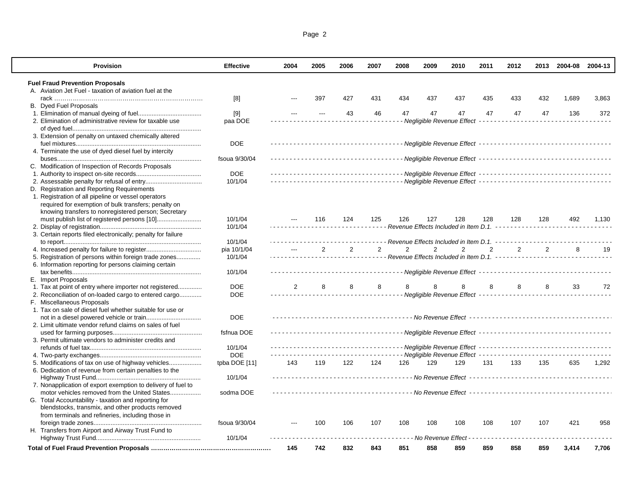| <b>Provision</b>                                             | <b>Effective</b> | 2004                                                                                                | 2005 | 2006 | 2007           | 2008           | 2009           | 2010                                                              | 2011 | 2012 |                | 2013 2004-08 2004-13                                                                       |       |
|--------------------------------------------------------------|------------------|-----------------------------------------------------------------------------------------------------|------|------|----------------|----------------|----------------|-------------------------------------------------------------------|------|------|----------------|--------------------------------------------------------------------------------------------|-------|
| <b>Fuel Fraud Prevention Proposals</b>                       |                  |                                                                                                     |      |      |                |                |                |                                                                   |      |      |                |                                                                                            |       |
| A. Aviation Jet Fuel - taxation of aviation fuel at the      |                  |                                                                                                     |      |      |                |                |                |                                                                   |      |      |                |                                                                                            |       |
|                                                              | [8]              |                                                                                                     | 397  | 427  | 431            | 434            | 437            | 437                                                               | 435  | 433  | 432            | 1.689                                                                                      | 3,863 |
| B. Dyed Fuel Proposals                                       |                  |                                                                                                     |      |      |                |                |                |                                                                   |      |      |                |                                                                                            |       |
|                                                              | $[9]$            |                                                                                                     |      | 43   | 46             | 47             | 47             | 47                                                                | 47   | 47   | 47             | 136                                                                                        | 372   |
| 2. Elimination of administrative review for taxable use      | paa DOE          |                                                                                                     |      |      |                |                |                | - Negligible Revenue Effect - - - - -                             |      |      |                |                                                                                            |       |
|                                                              |                  |                                                                                                     |      |      |                |                |                |                                                                   |      |      |                |                                                                                            |       |
| 3. Extension of penalty on untaxed chemically altered        |                  |                                                                                                     |      |      |                |                |                |                                                                   |      |      |                |                                                                                            |       |
|                                                              | <b>DOE</b>       |                                                                                                     |      |      |                |                |                |                                                                   |      |      |                |                                                                                            |       |
| 4. Terminate the use of dyed diesel fuel by intercity        |                  |                                                                                                     |      |      |                |                |                |                                                                   |      |      |                |                                                                                            |       |
|                                                              | fsoua 9/30/04    |                                                                                                     |      |      |                |                |                |                                                                   |      |      |                |                                                                                            |       |
| C. Modification of Inspection of Records Proposals           |                  |                                                                                                     |      |      |                |                |                |                                                                   |      |      |                |                                                                                            |       |
|                                                              | <b>DOE</b>       |                                                                                                     |      |      |                |                |                |                                                                   |      |      |                |                                                                                            |       |
|                                                              | 10/1/04          |                                                                                                     |      |      |                |                |                |                                                                   |      |      |                |                                                                                            |       |
| D. Registration and Reporting Requirements                   |                  |                                                                                                     |      |      |                |                |                |                                                                   |      |      |                |                                                                                            |       |
| 1. Registration of all pipeline or vessel operators          |                  |                                                                                                     |      |      |                |                |                |                                                                   |      |      |                |                                                                                            |       |
| required for exemption of bulk transfers; penalty on         |                  |                                                                                                     |      |      |                |                |                |                                                                   |      |      |                |                                                                                            |       |
| knowing transfers to nonregistered person; Secretary         |                  |                                                                                                     |      |      |                |                |                |                                                                   |      |      |                |                                                                                            |       |
|                                                              | 10/1/04          |                                                                                                     | 116  | 124  | 125            | 126            | 127            | 128                                                               | 128  | 128  | 128            | 492                                                                                        | 1,130 |
|                                                              | 10/1/04          |                                                                                                     |      |      |                |                |                | ------- Revenue Effects Included in Item D.1. ------------------- |      |      |                |                                                                                            |       |
| 3. Certain reports filed electronically; penalty for failure |                  |                                                                                                     |      |      |                |                |                |                                                                   |      |      |                |                                                                                            |       |
|                                                              | 10/1/04          |                                                                                                     |      |      |                |                |                | - Revenue Effects Included in Item D.1. -                         |      |      |                |                                                                                            |       |
|                                                              | pia 10/1/04      |                                                                                                     | 2    | 2    | $\overline{2}$ | $\overline{2}$ | $\overline{2}$ | 2                                                                 | 2    | 2    | $\overline{2}$ | 8                                                                                          | 19    |
| 5. Registration of persons within foreign trade zones        | 10/1/04          |                                                                                                     |      |      |                |                |                |                                                                   |      |      |                |                                                                                            |       |
|                                                              |                  |                                                                                                     |      |      |                |                |                |                                                                   |      |      |                |                                                                                            |       |
| 6. Information reporting for persons claiming certain        | 10/1/04          |                                                                                                     |      |      |                |                |                |                                                                   |      |      |                |                                                                                            |       |
| E. Import Proposals                                          |                  |                                                                                                     |      |      |                |                |                |                                                                   |      |      |                |                                                                                            |       |
| 1. Tax at point of entry where importer not registered       | <b>DOE</b>       | $\overline{2}$                                                                                      | 8    | 8    | 8              | 8              | 8              |                                                                   | 8    | 8    | 8              | 33                                                                                         | 72    |
| 2. Reconciliation of on-loaded cargo to entered cargo        | <b>DOE</b>       |                                                                                                     |      |      | <u>.</u>       |                |                | - Negligible Revenue Effect ----------------                      |      |      |                |                                                                                            |       |
| F. Miscellaneous Proposals                                   |                  |                                                                                                     |      |      |                |                |                |                                                                   |      |      |                |                                                                                            |       |
| 1. Tax on sale of diesel fuel whether suitable for use or    |                  |                                                                                                     |      |      |                |                |                |                                                                   |      |      |                |                                                                                            |       |
|                                                              | <b>DOE</b>       |                                                                                                     |      |      |                |                |                |                                                                   |      |      |                |                                                                                            |       |
| 2. Limit ultimate vendor refund claims on sales of fuel      |                  |                                                                                                     |      |      |                |                |                |                                                                   |      |      |                |                                                                                            |       |
|                                                              | fsfnua DOE       |                                                                                                     |      |      |                |                |                |                                                                   |      |      |                |                                                                                            |       |
|                                                              |                  |                                                                                                     |      |      |                |                |                |                                                                   |      |      |                |                                                                                            |       |
| 3. Permit ultimate vendors to administer credits and         |                  | ------------------------------------- Negligible Revenue Effect ----------------------------------- |      |      |                |                |                |                                                                   |      |      |                |                                                                                            |       |
|                                                              | 10/1/04<br>DOE   |                                                                                                     |      |      |                |                |                |                                                                   |      |      |                | ----------------------------- Negligible Revenue Effect ---------------------------------- |       |
|                                                              |                  |                                                                                                     |      |      |                |                |                |                                                                   |      |      |                |                                                                                            |       |
| 5. Modifications of tax on use of highway vehicles           | tpba DOE [11]    | 143                                                                                                 | 119  | 122  | 124            | 126            | 129            | 129                                                               | 131  | 133  | 135            | 635                                                                                        | 1,292 |
| 6. Dedication of revenue from certain penalties to the       |                  |                                                                                                     |      |      |                |                |                |                                                                   |      |      |                |                                                                                            |       |
|                                                              | 10/1/04          |                                                                                                     |      |      |                |                |                |                                                                   |      |      |                |                                                                                            |       |
| 7. Nonapplication of export exemption to delivery of fuel to |                  |                                                                                                     |      |      |                |                |                |                                                                   |      |      |                |                                                                                            |       |
| motor vehicles removed from the United States                | sodma DOE        |                                                                                                     |      |      |                |                |                |                                                                   |      |      |                |                                                                                            |       |
| G. Total Accountability - taxation and reporting for         |                  |                                                                                                     |      |      |                |                |                |                                                                   |      |      |                |                                                                                            |       |
| blendstocks, transmix, and other products removed            |                  |                                                                                                     |      |      |                |                |                |                                                                   |      |      |                |                                                                                            |       |
| from terminals and refineries, including those in            |                  |                                                                                                     |      |      |                |                |                |                                                                   |      |      |                |                                                                                            |       |
|                                                              | fsoua 9/30/04    |                                                                                                     | 100  | 106  | 107            | 108            | 108            | 108                                                               | 108  | 107  | 107            | 421                                                                                        | 958   |
| H. Transfers from Airport and Airway Trust Fund to           | 10/1/04          |                                                                                                     |      |      |                |                |                | - No Revenue Effect                                               |      |      |                |                                                                                            |       |
|                                                              |                  |                                                                                                     |      |      |                |                |                |                                                                   |      |      |                |                                                                                            |       |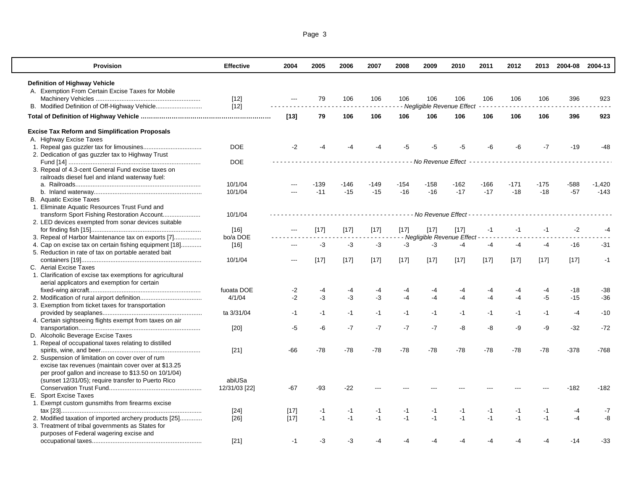| Page 3 |  |
|--------|--|
|        |  |

| <b>Provision</b>                                           | <b>Effective</b> | 2004   | 2005   | 2006   | 2007   | 2008   | 2009                | 2010                                | 2011   | 2012   |        | 2013 2004-08 2004-13 |          |
|------------------------------------------------------------|------------------|--------|--------|--------|--------|--------|---------------------|-------------------------------------|--------|--------|--------|----------------------|----------|
| <b>Definition of Highway Vehicle</b>                       |                  |        |        |        |        |        |                     |                                     |        |        |        |                      |          |
| A. Exemption From Certain Excise Taxes for Mobile          |                  |        |        |        |        |        |                     |                                     |        |        |        |                      |          |
|                                                            | $[12]$           | $---$  | 79     | 106    | 106    | 106    | 106                 | 106                                 | 106    | 106    | 106    | 396                  | 923      |
|                                                            | $[12]$           |        |        |        |        |        |                     | Negligible Revenue Effect           |        |        |        |                      |          |
|                                                            |                  | $[13]$ | 79     | 106    | 106    | 106    | 106                 | 106                                 | 106    | 106    | 106    | 396                  | 923      |
| <b>Excise Tax Reform and Simplification Proposals</b>      |                  |        |        |        |        |        |                     |                                     |        |        |        |                      |          |
| A. Highway Excise Taxes                                    |                  |        |        |        |        |        |                     |                                     |        |        |        |                      |          |
|                                                            | <b>DOE</b>       | $-2$   | -4     | -4     |        | -5     |                     | -5                                  | -6     | -6     | $-7$   | $-19$                | -48      |
| 2. Dedication of gas guzzler tax to Highway Trust          |                  |        |        |        |        |        |                     |                                     |        |        |        |                      |          |
|                                                            | <b>DOE</b>       |        |        |        |        |        | - No Revenue Effect |                                     |        |        |        |                      |          |
| 3. Repeal of 4.3-cent General Fund excise taxes on         |                  |        |        |        |        |        |                     |                                     |        |        |        |                      |          |
| railroads diesel fuel and inland waterway fuel:            |                  |        |        |        |        |        |                     |                                     |        |        |        |                      |          |
|                                                            | 10/1/04          | ---    | -139   | $-146$ | -149   | $-154$ | $-158$              | -162                                | $-166$ | $-171$ | $-175$ | -588                 | $-1,420$ |
|                                                            | 10/1/04          |        | $-11$  | $-15$  | $-15$  | $-16$  | $-16$               | $-17$                               | $-17$  | $-18$  | $-18$  | $-57$                | $-143$   |
| <b>B.</b> Aquatic Excise Taxes                             |                  |        |        |        |        |        |                     |                                     |        |        |        |                      |          |
| 1. Eliminate Aquatic Resources Trust Fund and              |                  |        |        |        |        |        |                     |                                     |        |        |        |                      |          |
| transform Sport Fishing Restoration Account                | 10/1/04          |        |        | .      |        |        |                     |                                     |        |        |        |                      |          |
| 2. LED devices exempted from sonar devices suitable        |                  |        |        |        |        |        |                     |                                     |        |        |        |                      |          |
|                                                            | $[16]$           |        | $[17]$ | $[17]$ | $[17]$ | $[17]$ | $[17]$              | $[17]$                              | $-1$   | $-1$   | $-1$   | $-2$                 | -4       |
| 3. Repeal of Harbor Maintenance tax on exports [7]         | bo/a DOE         |        |        |        |        |        |                     | - Negligible Revenue Effect - - - - |        |        |        |                      |          |
|                                                            |                  |        | $-3$   | $-3$   | -3     | -3     | $-3$                | $-4$                                | $-4$   | $-4$   | $-4$   | $-16$                | $-31$    |
| 4. Cap on excise tax on certain fishing equipment [18]     | [16]             |        |        |        |        |        |                     |                                     |        |        |        |                      |          |
| 5. Reduction in rate of tax on portable aerated bait       |                  |        |        |        |        |        |                     |                                     |        |        |        |                      |          |
|                                                            | 10/1/04          |        | $[17]$ | $[17]$ | $[17]$ | $[17]$ | $[17]$              | $[17]$                              | $[17]$ | $[17]$ | $[17]$ | $[17]$               | $-1$     |
| C. Aerial Excise Taxes                                     |                  |        |        |        |        |        |                     |                                     |        |        |        |                      |          |
| 1. Clarification of excise tax exemptions for agricultural |                  |        |        |        |        |        |                     |                                     |        |        |        |                      |          |
| aerial applicators and exemption for certain               |                  |        |        |        |        |        |                     |                                     |        |        |        |                      |          |
|                                                            | fuoata DOE       | $-2$   | $-4$   | -4     |        |        | -4                  |                                     |        | -4     | $-4$   | $-18$                | $-38$    |
|                                                            | 4/1/04           | $-2$   | $-3$   | $-3$   | $-3$   | $-4$   | $-4$                | $-4$                                | -4     | $-4$   | $-5$   | $-15$                | $-36$    |
| 3. Exemption from ticket taxes for transportation          |                  |        |        |        |        |        |                     |                                     |        |        |        |                      |          |
|                                                            | ta 3/31/04       | $-1$   | $-1$   | $-1$   | $-1$   | $-1$   | $-1$                | $-1$                                | -1     | $-1$   | $-1$   | $-4$                 | $-10$    |
| 4. Certain sightseeing flights exempt from taxes on air    |                  |        |        |        |        |        |                     |                                     |        |        |        |                      |          |
|                                                            | $[20]$           | $-5$   | -6     | $-7$   | $-7$   | $-7$   | $-7$                | -8                                  | -8     | -9     | -9     | $-32$                | $-72$    |
| D. Alcoholic Beverage Excise Taxes                         |                  |        |        |        |        |        |                     |                                     |        |        |        |                      |          |
| 1. Repeal of occupational taxes relating to distilled      |                  |        |        |        |        |        |                     |                                     |        |        |        |                      |          |
|                                                            | $[21]$           | $-66$  | $-78$  | $-78$  | $-78$  | $-78$  | $-78$               | $-78$                               | $-78$  | $-78$  | $-78$  | $-378$               | $-768$   |
| 2. Suspension of limitation on cover over of rum           |                  |        |        |        |        |        |                     |                                     |        |        |        |                      |          |
| excise tax revenues (maintain cover over at \$13.25        |                  |        |        |        |        |        |                     |                                     |        |        |        |                      |          |
| per proof gallon and increase to \$13.50 on 10/1/04)       |                  |        |        |        |        |        |                     |                                     |        |        |        |                      |          |
| (sunset 12/31/05); require transfer to Puerto Rico         | abiUSa           |        |        |        |        |        |                     |                                     |        |        |        |                      |          |
|                                                            | 12/31/03 [22]    | $-67$  | -93    | $-22$  |        |        |                     |                                     |        |        |        | -182                 | $-182$   |
| E. Sport Excise Taxes                                      |                  |        |        |        |        |        |                     |                                     |        |        |        |                      |          |
| 1. Exempt custom gunsmiths from firearms excise            |                  |        |        |        |        |        |                     |                                     |        |        |        |                      |          |
|                                                            | $[24]$           | $[17]$ | $-1$   | $-1$   | $-1$   | -1     | $-1$                | $-1$                                | -1     | $-1$   | $-1$   | $-4$                 | -7       |
| 2. Modified taxation of imported archery products [25]     | $[26]$           | $[17]$ | $-1$   | $-1$   | $-1$   | $-1$   | $-1$                | $-1$                                | $-1$   | $-1$   | $-1$   | $-4$                 | -8       |
| 3. Treatment of tribal governments as States for           |                  |        |        |        |        |        |                     |                                     |        |        |        |                      |          |
| purposes of Federal wagering excise and                    |                  |        |        |        |        |        |                     |                                     |        |        |        |                      |          |
|                                                            | $[21]$           | $-1$   | $-3$   | -3     | -4     | -4     |                     | $-4$                                | -4     | -4     | -4     | $-14$                | -33      |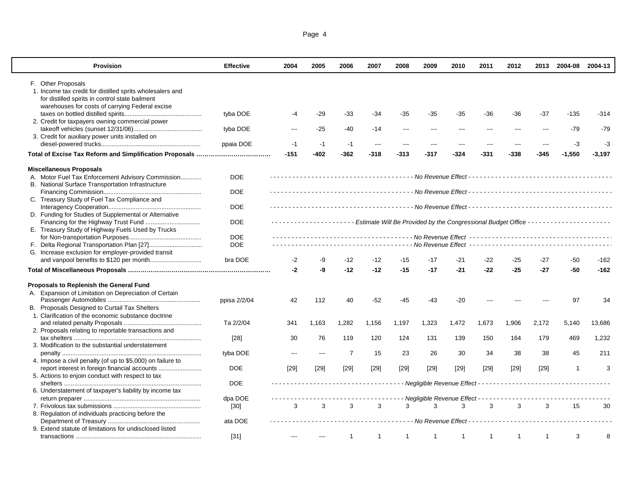| Page 4 |
|--------|
|--------|

| <b>Provision</b>                                           | <b>Effective</b> | 2004                                                                                                    | 2005   | 2006           | 2007                                                                                                                                                                            | 2008           | 2009                                  | 2010         | 2011           | 2012           |              | 2013 2004-08 2004-13 |          |
|------------------------------------------------------------|------------------|---------------------------------------------------------------------------------------------------------|--------|----------------|---------------------------------------------------------------------------------------------------------------------------------------------------------------------------------|----------------|---------------------------------------|--------------|----------------|----------------|--------------|----------------------|----------|
| F. Other Proposals                                         |                  |                                                                                                         |        |                |                                                                                                                                                                                 |                |                                       |              |                |                |              |                      |          |
| 1. Income tax credit for distilled sprits wholesalers and  |                  |                                                                                                         |        |                |                                                                                                                                                                                 |                |                                       |              |                |                |              |                      |          |
| for distilled spirits in control state bailment            |                  |                                                                                                         |        |                |                                                                                                                                                                                 |                |                                       |              |                |                |              |                      |          |
| warehouses for costs of carrying Federal excise            |                  |                                                                                                         |        |                |                                                                                                                                                                                 |                |                                       |              |                |                |              |                      |          |
|                                                            | tyba DOE         | -4                                                                                                      | $-29$  | $-33$          | -34                                                                                                                                                                             | $-35$          | -35                                   | $-35$        | $-36$          | -36            | $-37$        | $-135$               | $-314$   |
| 2. Credit for taxpayers owning commercial power            |                  |                                                                                                         |        |                |                                                                                                                                                                                 |                |                                       |              |                |                |              |                      |          |
|                                                            | tyba DOE         | $\overline{a}$                                                                                          | $-25$  | -40            | -14                                                                                                                                                                             | $\overline{a}$ | ---                                   |              |                | $\overline{a}$ | $---$        | $-79$                | $-79$    |
| 3. Credit for auxiliary power units installed on           |                  |                                                                                                         |        |                |                                                                                                                                                                                 |                |                                       |              |                |                |              |                      |          |
|                                                            | ppaia DOE        | $-1$                                                                                                    | $-1$   | $-1$           | $---$                                                                                                                                                                           | $---$          | ---                                   | ---          | $\overline{a}$ | ---            | $---$        | $-3$                 | -3       |
|                                                            |                  | $-151$                                                                                                  | $-402$ | -362           | -318                                                                                                                                                                            | $-313$         | $-317$                                | -324         | $-331$         | $-338$         | $-345$       | $-1,550$             | $-3,197$ |
|                                                            |                  |                                                                                                         |        |                |                                                                                                                                                                                 |                |                                       |              |                |                |              |                      |          |
| <b>Miscellaneous Proposals</b>                             |                  |                                                                                                         |        |                |                                                                                                                                                                                 |                |                                       |              |                |                |              |                      |          |
| A. Motor Fuel Tax Enforcement Advisory Commission          | <b>DOE</b>       |                                                                                                         |        |                |                                                                                                                                                                                 |                |                                       |              |                |                |              |                      |          |
| B. National Surface Transportation Infrastructure          |                  |                                                                                                         |        |                |                                                                                                                                                                                 |                |                                       |              |                |                |              |                      |          |
|                                                            | <b>DOE</b>       |                                                                                                         |        |                |                                                                                                                                                                                 |                |                                       |              |                |                |              |                      |          |
| C. Treasury Study of Fuel Tax Compliance and               |                  |                                                                                                         |        |                |                                                                                                                                                                                 |                |                                       |              |                |                |              |                      |          |
|                                                            | <b>DOE</b>       |                                                                                                         |        |                |                                                                                                                                                                                 |                |                                       |              |                |                |              |                      |          |
| D. Funding for Studies of Supplemental or Alternative      |                  |                                                                                                         |        |                |                                                                                                                                                                                 |                |                                       |              |                |                |              |                      |          |
|                                                            | <b>DOE</b>       | -------------------- Estimate Will Be Provided by the Congressional Budget Office --------------------- |        |                |                                                                                                                                                                                 |                |                                       |              |                |                |              |                      |          |
| E. Treasury Study of Highway Fuels Used by Trucks          |                  |                                                                                                         |        |                |                                                                                                                                                                                 |                |                                       |              |                |                |              |                      |          |
|                                                            | <b>DOE</b>       |                                                                                                         |        |                |                                                                                                                                                                                 |                |                                       |              |                |                |              |                      |          |
|                                                            | <b>DOE</b>       |                                                                                                         |        |                |                                                                                                                                                                                 |                |                                       |              |                |                |              |                      |          |
| G. Increase exclusion for employer-provided transit        |                  |                                                                                                         |        |                |                                                                                                                                                                                 |                |                                       |              |                |                |              |                      |          |
|                                                            | bra DOE          | -2                                                                                                      | -9     | $-12$          | -12                                                                                                                                                                             | -15            | $-17$                                 | $-21$        | $-22$          | -25            | $-27$        | -50                  | -162     |
|                                                            |                  | -2                                                                                                      | -9     | $-12$          | $-12$                                                                                                                                                                           | $-15$          | $-17$                                 | $-21$        | $-22$          | $-25$          | $-27$        | $-50$                | $-162$   |
| Proposals to Replenish the General Fund                    |                  |                                                                                                         |        |                |                                                                                                                                                                                 |                |                                       |              |                |                |              |                      |          |
| A. Expansion of Limitation on Depreciation of Certain      |                  |                                                                                                         |        |                |                                                                                                                                                                                 |                |                                       |              |                |                |              |                      |          |
|                                                            | ppisa 2/2/04     | 42                                                                                                      | 112    | 40             | $-52$                                                                                                                                                                           | $-45$          | $-43$                                 | $-20$        |                |                |              | 97                   | 34       |
| B. Proposals Designed to Curtail Tax Shelters              |                  |                                                                                                         |        |                |                                                                                                                                                                                 |                |                                       |              |                |                |              |                      |          |
| 1. Clarification of the economic substance doctrine        |                  |                                                                                                         |        |                |                                                                                                                                                                                 |                |                                       |              |                |                |              |                      |          |
|                                                            | Ta 2/2/04        | 341                                                                                                     | 1,163  | 1,282          | 1,156                                                                                                                                                                           | 1,197          | 1,323                                 | 1,472        | 1,673          | 1,906          | 2,172        | 5,140                | 13,686   |
| 2. Proposals relating to reportable transactions and       |                  |                                                                                                         |        |                |                                                                                                                                                                                 |                |                                       |              |                |                |              |                      |          |
|                                                            | [28]             | 30                                                                                                      | 76     | 119            | 120                                                                                                                                                                             | 124            | 131                                   | 139          | 150            | 164            | 179          | 469                  | 1,232    |
| 3. Modification to the substantial understatement          |                  |                                                                                                         |        |                |                                                                                                                                                                                 |                |                                       |              |                |                |              |                      |          |
|                                                            | tyba DOE         | $---$                                                                                                   | $---$  | $\overline{7}$ | 15                                                                                                                                                                              | 23             | 26                                    | 30           | 34             | 38             | 38           | 45                   | 211      |
|                                                            |                  |                                                                                                         |        |                |                                                                                                                                                                                 |                |                                       |              |                |                |              |                      |          |
| 4. Impose a civil penalty (of up to \$5,000) on failure to | <b>DOE</b>       |                                                                                                         |        |                |                                                                                                                                                                                 |                |                                       |              |                |                |              | -1                   | 3        |
| report interest in foreign financial accounts              |                  | $[29]$                                                                                                  | $[29]$ | $[29]$         | $[29]$                                                                                                                                                                          | $[29]$         | $[29]$                                | $[29]$       | $[29]$         | $[29]$         | $[29]$       |                      |          |
| 5. Actions to enjoin conduct with respect to tax           | <b>DOE</b>       |                                                                                                         |        |                | $\frac{1}{2} \left( \frac{1}{2} \right) \left( \frac{1}{2} \right) \left( \frac{1}{2} \right) \left( \frac{1}{2} \right) \left( \frac{1}{2} \right) \left( \frac{1}{2} \right)$ |                |                                       |              |                |                |              |                      |          |
|                                                            |                  |                                                                                                         |        |                |                                                                                                                                                                                 |                |                                       |              |                |                |              |                      |          |
| 6. Understatement of taxpayer's liability by income tax    |                  |                                                                                                         |        |                |                                                                                                                                                                                 |                |                                       |              |                |                |              |                      |          |
|                                                            | dpa DOE          |                                                                                                         |        |                |                                                                                                                                                                                 |                | - Negligible Revenue Effect - - - - - |              |                |                |              |                      |          |
|                                                            | $[30]$           | 3                                                                                                       | 3      | 3              | 3                                                                                                                                                                               | 3              | 3                                     | 3            | 3              | 3              | 3            | 15                   | 30       |
| 8. Regulation of individuals practicing before the         |                  |                                                                                                         |        |                |                                                                                                                                                                                 |                |                                       |              |                |                |              |                      |          |
|                                                            | ata DOE          |                                                                                                         |        |                |                                                                                                                                                                                 |                |                                       |              |                |                |              |                      |          |
| 9. Extend statute of limitations for undisclosed listed    |                  |                                                                                                         |        |                |                                                                                                                                                                                 |                |                                       |              |                |                |              |                      |          |
|                                                            | $[31]$           |                                                                                                         |        | $\mathbf{1}$   | $\overline{1}$                                                                                                                                                                  | $\mathbf{1}$   | $\mathbf{1}$                          | $\mathbf{1}$ | $\mathbf{1}$   | $\mathbf{1}$   | $\mathbf{1}$ | 3                    | 8        |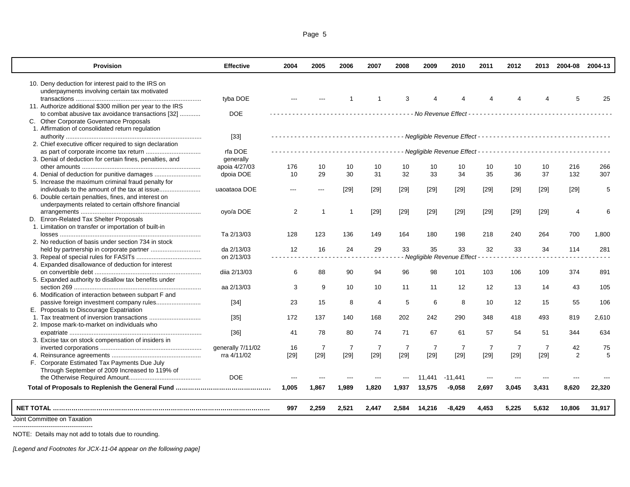|--|--|

| <b>Provision</b>                                           | <b>Effective</b>  | 2004           | 2005           | 2006           | 2007           | 2008           | 2009           | 2010                        | 2011           | 2012           | 2013           | 2004-08 2004-13 |         |
|------------------------------------------------------------|-------------------|----------------|----------------|----------------|----------------|----------------|----------------|-----------------------------|----------------|----------------|----------------|-----------------|---------|
| 10. Deny deduction for interest paid to the IRS on         |                   |                |                |                |                |                |                |                             |                |                |                |                 |         |
| underpayments involving certain tax motivated              |                   |                |                |                |                |                |                |                             |                |                |                |                 |         |
|                                                            | tyba DOE          |                |                |                | 1              | 3              |                |                             |                |                |                | 5               | 25      |
| 11. Authorize additional \$300 million per year to the IRS |                   |                |                |                |                |                |                |                             |                |                |                |                 |         |
| to combat abusive tax avoidance transactions [32]          | <b>DOE</b>        |                |                |                | .              |                |                |                             |                |                |                |                 |         |
| C. Other Corporate Governance Proposals                    |                   |                |                |                |                |                |                |                             |                |                |                |                 |         |
| 1. Affirmation of consolidated return regulation           |                   |                |                |                |                |                |                |                             |                |                |                |                 |         |
|                                                            | $[33]$            |                |                |                |                |                |                |                             |                |                |                |                 |         |
| 2. Chief executive officer required to sign declaration    |                   |                |                |                |                |                |                |                             |                |                |                |                 |         |
|                                                            | rfa DOE           |                |                |                |                |                |                |                             |                |                |                |                 |         |
| 3. Denial of deduction for certain fines, penalties, and   | generally         |                |                |                |                |                |                |                             |                |                |                |                 |         |
|                                                            | apoia 4/27/03     | 176            | 10             | 10             | 10             | 10             | 10             | 10                          | 10             | 10             | 10             | 216             | 266     |
|                                                            | dpoia DOE         | 10             | 29             | 30             | 31             | 32             | 33             | 34                          | 35             | 36             | 37             | 132             | 307     |
| 5. Increase the maximum criminal fraud penalty for         |                   |                |                |                |                |                |                |                             |                |                |                |                 |         |
|                                                            | uaoataoa DOE      |                | $---$          | $[29]$         | $[29]$         | [29]           | [29]           | $[29]$                      | $[29]$         | $[29]$         | $[29]$         | $[29]$          | 5       |
| 6. Double certain penalties, fines, and interest on        |                   |                |                |                |                |                |                |                             |                |                |                |                 |         |
| underpayments related to certain offshore financial        |                   |                |                |                |                |                |                |                             |                |                |                |                 |         |
|                                                            | oyo/a DOE         | $\overline{2}$ | 1              | $\mathbf 1$    | $[29]$         | $[29]$         | $[29]$         | $[29]$                      | $[29]$         | $[29]$         | $[29]$         | $\overline{4}$  | 6       |
| D. Enron-Related Tax Shelter Proposals                     |                   |                |                |                |                |                |                |                             |                |                |                |                 |         |
| 1. Limitation on transfer or importation of built-in       |                   |                |                |                |                |                |                |                             |                |                |                |                 |         |
|                                                            | Ta 2/13/03        | 128            | 123            | 136            | 149            | 164            | 180            | 198                         | 218            | 240            | 264            | 700             | 1,800   |
| 2. No reduction of basis under section 734 in stock        |                   |                |                |                |                |                |                |                             |                |                |                |                 |         |
|                                                            | da 2/13/03        | 12             | 16             | 24             | 29             | 33             | 35             | 33                          | 32             | 33             | 34             | 114             | 281     |
|                                                            | on 2/13/03        |                |                |                |                |                |                | - Negligible Revenue Effect |                |                |                |                 |         |
| 4. Expanded disallowance of deduction for interest         |                   |                |                |                |                |                |                |                             |                |                |                |                 |         |
|                                                            | diia 2/13/03      | 6              | 88             | 90             | 94             | 96             | 98             | 101                         | 103            | 106            | 109            | 374             | 891     |
| 5. Expanded authority to disallow tax benefits under       |                   |                |                |                |                |                |                |                             |                |                |                |                 |         |
|                                                            | aa 2/13/03        | 3              | 9              | 10             | 10             | 11             | 11             | 12                          | 12             | 13             | 14             | 43              | 105     |
| 6. Modification of interaction between subpart F and       |                   |                |                |                |                |                |                |                             |                |                |                |                 |         |
|                                                            | $[34]$            | 23             | 15             | 8              | $\overline{4}$ | 5              | 6              | 8                           | 10             | 12             | 15             | 55              | 106     |
| E. Proposals to Discourage Expatriation                    |                   |                |                |                |                |                |                |                             |                |                |                |                 |         |
|                                                            | $[35]$            | 172            | 137            | 140            | 168            | 202            | 242            | 290                         | 348            | 418            | 493            | 819             | 2,610   |
| 2. Impose mark-to-market on individuals who                |                   |                |                |                |                |                |                |                             |                |                |                |                 |         |
|                                                            | $[36]$            | 41             | 78             | 80             | 74             | 71             | 67             | 61                          | 57             | 54             | 51             | 344             | 634     |
| 3. Excise tax on stock compensation of insiders in         |                   |                |                |                |                |                |                |                             |                |                |                |                 |         |
|                                                            | generally 7/11/02 | 16             | $\overline{7}$ | $\overline{7}$ | $\overline{7}$ | $\overline{7}$ | $\overline{7}$ | $\overline{7}$              | $\overline{7}$ | $\overline{7}$ | $\overline{7}$ | 42              | 75<br>5 |
|                                                            | rra 4/11/02       | [29]           | $[29]$         | $[29]$         | $[29]$         | $[29]$         | $[29]$         | $[29]$                      | $[29]$         | $[29]$         | $[29]$         | $\overline{2}$  |         |
| F. Corporate Estimated Tax Payments Due July               |                   |                |                |                |                |                |                |                             |                |                |                |                 |         |
| Through September of 2009 Increased to 119% of             | <b>DOE</b>        |                |                |                |                |                |                |                             |                |                |                |                 |         |
|                                                            |                   |                | ---            |                |                |                | 11.441         | $-11,441$                   |                |                |                |                 |         |
|                                                            |                   | 1,005          | 1,867          | 1,989          | 1,820          | 1,937          | 13,575         | $-9,058$                    | 2,697          | 3,045          | 3,431          | 8,620           | 22,320  |
|                                                            |                   | 997            | 2,259          | 2,521          | 2,447          | 2,584          | 14,216         | $-8,429$                    | 4,453          | 5,225          | 5,632          | 10,806          | 31,917  |
| Joint Committee on Taxation                                |                   |                |                |                |                |                |                |                             |                |                |                |                 |         |

--------------------------------------

NOTE: Details may not add to totals due to rounding.

*[Legend and Footnotes for JCX-11-04 appear on the following page]*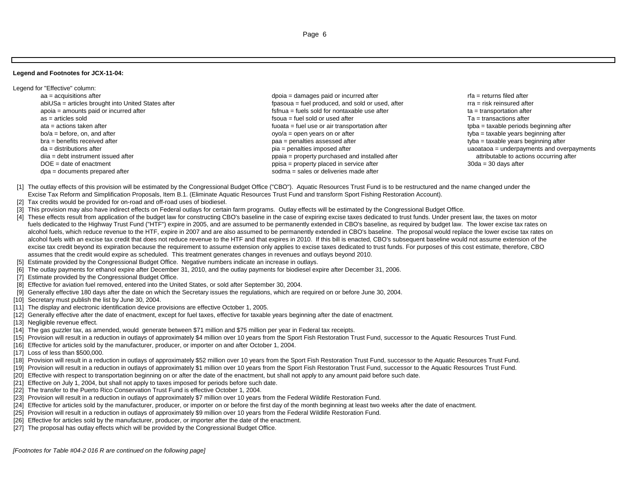## **Legend and Footnotes for JCX-11-04:**

- Legend for "Effective" column:
	- aa = acquisitions after depoid = damages paid or incurred after the mages paid or incurred after the mages paid or incurred after the mages paid or incurred after the mages paid or incurred after the mages paid or incurred abiUSa = articles brought into United States after function for the state of the states after fpasoua = fuel produced, and sold or used, after fracess articles brought into United States after frace rra = risk reinsured af apoia = amounts paid or incurred after  $\blacksquare$  fsfnua = fuels sold for nontaxable use after  $\blacksquare$  ta = transportation after as = articles soldata = actions taken after the actions taken after the state of air transportation after the state of air transportation after the state of air transportation after the state of air transportation after the state of air tra bo/a = before, on, and after the state of the state of the state of the state over the state of the state over the state of the state of the state of the state of the state of the state of the state of the state of the sta bra = benefits received afterda = distributions after determinism and overpayments and overpayments and overpayments and overpayments and overpayments diia = debt instrument issued after example after property purchased and installed after and installed after and installed after and installed after and installed after and installed after atte of enactment occurring after DOE = date of enactmentdpa = documents prepared after sodma = sales or deliveries made after sodma = sales or deliveries made after
		- fsoua = fuel sold or used after Ta = transactions after  $poisa =$  property placed in service after
- $t$ yba = taxable years beginning after
- [1] The outlay effects of this provision will be estimated by the Congressional Budget Office ("CBO"). Aquatic Resources Trust Fund is to be restructured and the name changed under the Excise Tax Reform and Simplification Proposals, Item B.1. (Eliminate Aquatic Resources Trust Fund and transform Sport Fishing Restoration Account).
- [2] Tax credits would be provided for on-road and off-road uses of biodiesel.
- [3] This provision may also have indirect effects on Federal outlays for certain farm programs. Outlay effects will be estimated by the Congressional Budget Office.
- [4] These effects result from application of the budget law for constructing CBO's baseline in the case of expiring excise taxes dedicated to trust funds. Under present law, the taxes on motor fuels dedicated to the Highway Trust Fund ("HTF") expire in 2005, and are assumed to be permanently extended in CBO's baseline, as required by budget law. The lower excise tax rates on alcohol fuels, which reduce revenue to the HTF, expire in 2007 and are also assumed to be permanently extended in CBO's baseline. The proposal would replace the lower excise tax rates on alcohol fuels with an excise tax credit that does not reduce revenue to the HTF and that expires in 2010. If this bill is enacted, CBO's subsequent baseline would not assume extension of the excise tax credit beyond its expiration because the requirement to assume extension only applies to excise taxes dedicated to trust funds. For purposes of this cost estimate, therefore, CBO assumes that the credit would expire as scheduled. This treatment generates changes in revenues and outlays beyond 2010.
- [5] Estimate provided by the Congressional Budget Office. Negative numbers indicate an increase in outlays.
- [6] The outlay payments for ethanol expire after December 31, 2010, and the outlay payments for biodiesel expire after December 31, 2006.
- [7] Estimate provided by the Congressional Budget Office.
- [8] Effective for aviation fuel removed, entered into the United States, or sold after September 30, 2004.
- [9] Generally effective 180 days after the date on which the Secretary issues the regulations, which are required on or before June 30, 2004.
- [10] Secretary must publish the list by June 30, 2004.
- [11] The display and electronic identification device provisions are effective October 1, 2005.
- [12] Generally effective after the date of enactment, except for fuel taxes, effective for taxable years beginning after the date of enactment.
- [13] Negligible revenue effect.
- [14] The gas guzzler tax, as amended, would generate between \$71 million and \$75 million per year in Federal tax receipts.
- [15] Provision will result in a reduction in outlays of approximately \$4 million over 10 years from the Sport Fish Restoration Trust Fund, successor to the Aquatic Resources Trust Fund.
- [16] Effective for articles sold by the manufacturer, producer, or importer on and after October 1, 2004.
- [17] Loss of less than \$500,000.
- [18] Provision will result in a reduction in outlays of approximately \$52 million over 10 years from the Sport Fish Restoration Trust Fund, successor to the Aquatic Resources Trust Fund.
- [19] Provision will result in a reduction in outlays of approximately \$1 million over 10 years from the Sport Fish Restoration Trust Fund, successor to the Aquatic Resources Trust Fund.
- [20] Effective with respect to transportation beginning on or after the date of the enactment, but shall not apply to any amount paid before such date.
- [21] Effective on July 1, 2004, but shall not apply to taxes imposed for periods before such date.
- [22] The transfer to the Puerto Rico Conservation Trust Fund is effective October 1, 2004.
- [23] Provision will result in a reduction in outlays of approximately \$7 million over 10 years from the Federal Wildlife Restoration Fund.
- [24] Effective for articles sold by the manufacturer, producer, or importer on or before the first day of the month beginning at least two weeks after the date of enactment.
- [25] Provision will result in a reduction in outlays of approximately \$9 million over 10 years from the Federal Wildlife Restoration Fund.
- [26] Effective for articles sold by the manufacturer, producer, or importer after the date of the enactment.
- [27] The proposal has outlay effects which will be provided by the Congressional Budget Office.

*[Footnotes for Table #04-2 016 R are continued on the following page]*